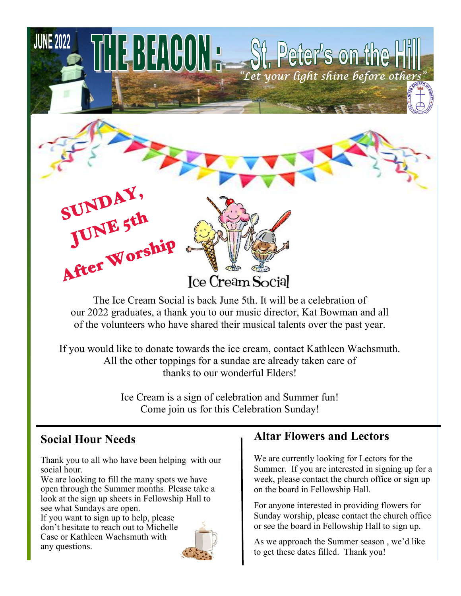

The Ice Cream Social is back June 5th. It will be a celebration of our 2022 graduates, a thank you to our music director, Kat Bowman and all of the volunteers who have shared their musical talents over the past year.

If you would like to donate towards the ice cream, contact Kathleen Wachsmuth. All the other toppings for a sundae are already taken care of thanks to our wonderful Elders!

> Ice Cream is a sign of celebration and Summer fun! Come join us for this Celebration Sunday!

## **Social Hour Needs**

Thank you to all who have been helping with our social hour.

We are looking to fill the many spots we have open through the Summer months. Please take a look at the sign up sheets in Fellowship Hall to see what Sundays are open.

If you want to sign up to help, please don't hesitate to reach out to Michelle Case or Kathleen Wachsmuth with any questions.



## **Altar Flowers and Lectors**

We are currently looking for Lectors for the Summer. If you are interested in signing up for a week, please contact the church office or sign up on the board in Fellowship Hall.

For anyone interested in providing flowers for Sunday worship, please contact the church office or see the board in Fellowship Hall to sign up.

As we approach the Summer season , we'd like to get these dates filled. Thank you!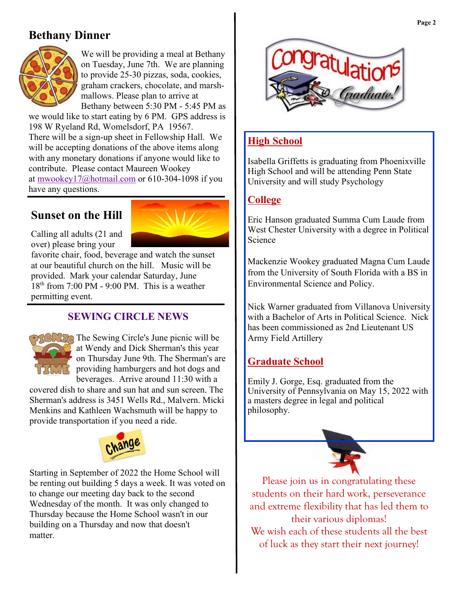# **Bethany Dinner**



We will be providing a meal at Bethany on Tuesday, June 7th. We are planning to provide 25-30 pizzas, soda, cookies, graham crackers, chocolate, and marshmallows. Please plan to arrive at Bethany between 5:30 PM - 5:45 PM as

we would like to start eating by 6 PM. GPS address is 198 W Ryeland Rd, Womelsdorf, PA 19567. There will be a sign-up sheet in Fellowship Hall. We will be accepting donations of the above items along with any monetary donations if anyone would like to contribute. Please contact Maureen Wookey at [mwookey17@hotmail.com](mailto:mwookey17@hotmail.com) or 610-304-1098 if you have any questions.

# **Sunset on the Hill**



Calling all adults (21 and over) please bring your

favorite chair, food, beverage and watch the sunset at our beautiful church on the hill. Music will be provided. Mark your calendar Saturday, June  $18<sup>th</sup>$  from 7:00 PM - 9:00 PM. This is a weather permitting event.

### **SEWING CIRCLE NEWS**



**The Sewing Circle's June picnic will be** at Wendy and Dick Sherman's this year on Thursday June 9th. The Sherman's are providing hamburgers and hot dogs and beverages. Arrive around 11:30 with a

covered dish to share and sun hat and sun screen. The Sherman's address is 3451 Wells Rd., Malvern. Micki Menkins and Kathleen Wachsmuth will be happy to provide transportation if you need a ride.



Starting in September of 2022 the Home School will be renting out building 5 days a week. It was voted on to change our meeting day back to the second Wednesday of the month. It was only changed to Thursday because the Home School wasn't in our building on a Thursday and now that doesn't matter.



### **High School**

Isabella Griffetts is graduating from Phoenixville High School and will be attending Penn State University and will study Psychology

### **College**

Eric Hanson graduated Summa Cum Laude from West Chester University with a degree in Political Science

Mackenzie Wookey graduated Magna Cum Laude from the University of South Florida with a BS in Environmental Science and Policy.

Nick Warner graduated from Villanova University with a Bachelor of Arts in Political Science. Nick has been commissioned as 2nd Lieutenant US Army Field Artillery

### **Graduate School**

Emily J. Gorge, Esq. graduated from the University of Pennsylvania on May 15, 2022 with a masters degree in legal and political philosophy.



Please join us in congratulating these students on their hard work, perseverance and extreme flexibility that has led them to their various diplomas! We wish each of these students all the best of luck as they start their next journey!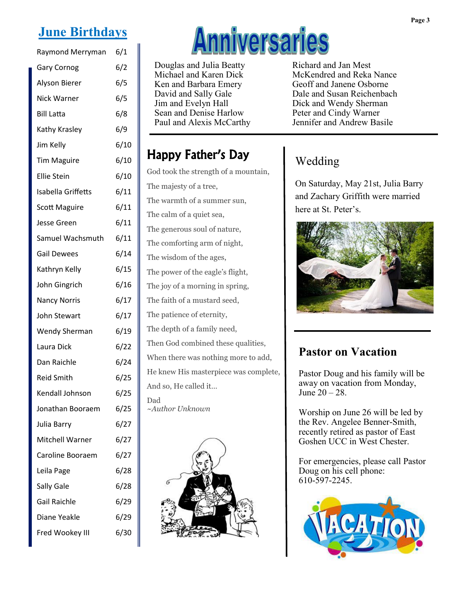# **June Birthdays**

| Raymond Merryman     | 6/1  |
|----------------------|------|
| <b>Gary Cornog</b>   | 6/2  |
| Alyson Bierer        | 6/5  |
| Nick Warner          | 6/5  |
| <b>Bill Latta</b>    | 6/8  |
| Kathy Krasley        | 6/9  |
| Jim Kelly            | 6/10 |
| <b>Tim Maguire</b>   | 6/10 |
| <b>Ellie Stein</b>   | 6/10 |
| Isabella Griffetts   | 6/11 |
| <b>Scott Maguire</b> | 6/11 |
| <b>Jesse Green</b>   | 6/11 |
| Samuel Wachsmuth     | 6/11 |
| <b>Gail Dewees</b>   | 6/14 |
| Kathryn Kelly        | 6/15 |
| John Gingrich        | 6/16 |
| <b>Nancy Norris</b>  | 6/17 |
| John Stewart         | 6/17 |
| <b>Wendy Sherman</b> | 6/19 |
| Laura Dick           | 6/22 |
| Dan Raichle          | 6/24 |
| <b>Reid Smith</b>    | 6/25 |
| Kendall Johnson      | 6/25 |
| Jonathan Booraem     | 6/25 |
| Julia Barry          | 6/27 |
| Mitchell Warner      | 6/27 |
| Caroline Booraem     | 6/27 |
| Leila Page           | 6/28 |
| Sally Gale           | 6/28 |
| <b>Gail Raichle</b>  | 6/29 |
| Diane Yeakle         | 6/29 |
| Fred Wookey III      | 6/30 |

# **Anniversaries**

Douglas and Julia Beatty Michael and Karen Dick Ken and Barbara Emery David and Sally Gale Jim and Evelyn Hall Sean and Denise Harlow Paul and Alexis McCarthy Richard and Jan Mest McKendred and Reka Nance Geoff and Janene Osborne Dale and Susan Reichenbach Dick and Wendy Sherman Peter and Cindy Warner Jennifer and Andrew Basile

# Happy Father's Day

God took the strength of a mountain, The majesty of a tree, The warmth of a summer sun, The calm of a quiet sea, The generous soul of nature, The comforting arm of night, The wisdom of the ages, The power of the eagle's flight, The joy of a morning in spring, The faith of a mustard seed, The patience of eternity, The depth of a family need, Then God combined these qualities, When there was nothing more to add, He knew His masterpiece was complete, And so, He called it… Dad *~Author Unknown*



# Wedding

On Saturday, May 21st, Julia Barry and Zachary Griffith were married here at St. Peter's.



# **Pastor on Vacation**

Pastor Doug and his family will be away on vacation from Monday, June 20 – 28.

Worship on June 26 will be led by the Rev. Angelee Benner-Smith, recently retired as pastor of East Goshen UCC in West Chester.

For emergencies, please call Pastor Doug on his cell phone: 610-597-2245.